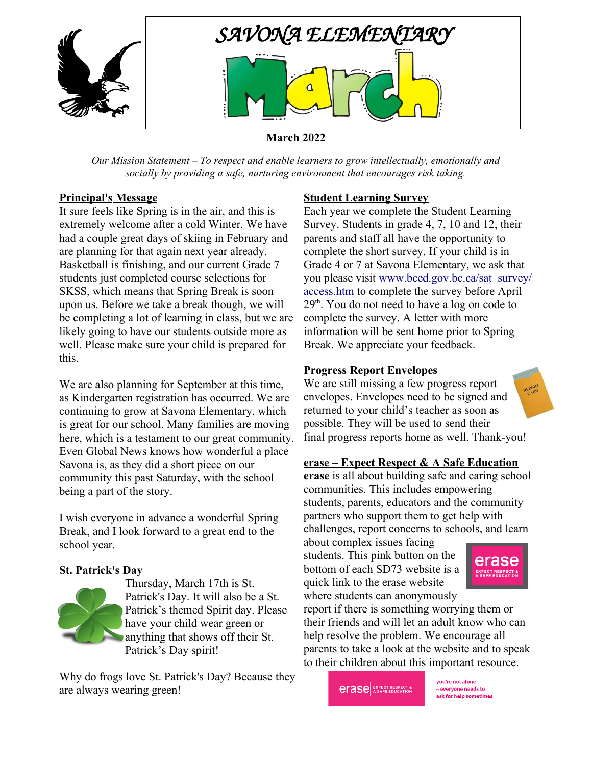

### **March 2022**

*Our Mission Statement – To respect and enable learners to grow intellectually, emotionally and socially by providing a safe, nurturing environment that encourages risk taking.*

#### **Principal's Message**

It sure feels like Spring is in the air, and this is extremely welcome after a cold Winter. We have had a couple great days of skiing in February and are planning for that again next year already. Basketball is finishing, and our current Grade 7 students just completed course selections for SKSS, which means that Spring Break is soon upon us. Before we take a break though, we will be completing a lot of learning in class, but we are likely going to have our students outside more as well. Please make sure your child is prepared for this.

We are also planning for September at this time, as Kindergarten registration has occurred. We are continuing to grow at Savona Elementary, which is great for our school. Many families are moving here, which is a testament to our great community. Even Global News knows how wonderful a place Savona is, as they did a short piece on our community this past Saturday, with the school being a part of the story.

I wish everyone in advance a wonderful Spring Break, and I look forward to a great end to the school year.

#### **St. Patrick's Day**

Thursday, March 17th is St. Patrick's Day. It will also be a St. Patrick's themed Spirit day. Please have your child wear green or anything that shows off their St. Patrick's Day spirit!

Why do frogs love St. Patrick's Day? Because they are always wearing green!

#### **Student Learning Survey**

Each year we complete the Student Learning Survey. Students in grade 4, 7, 10 and 12, their parents and staff all have the opportunity to complete the short survey. If your child is in Grade 4 or 7 at Savona Elementary, we ask that you please visit [www.bced.gov.bc.ca/sat\\_survey/](http://www.bced.gov.bc.ca/sat_survey/access.htm) [access.htm](http://www.bced.gov.bc.ca/sat_survey/access.htm) to complete the survey before April 29<sup>th</sup>. You do not need to have a log on code to complete the survey. A letter with more information will be sent home prior to Spring Break. We appreciate your feedback.

#### **Progress Report Envelopes**

We are still missing a few progress report envelopes. Envelopes need to be signed and returned to your child's teacher as soon as possible. They will be used to send their final progress reports home as well. Thank-you!

#### **erase – Expect Respect & A Safe Education**

**erase** is all about building safe and caring school communities. This includes empowering students, parents, educators and the community partners who support them to get help with challenges, report concerns to schools, and learn

about complex issues facing students. This pink button on the bottom of each SD73 website is a quick link to the erase website where students can anonymously



report if there is something worrying them or their friends and will let an adult know who can help resolve the problem. We encourage all parents to take a look at the website and to speak to their children about this important resource.

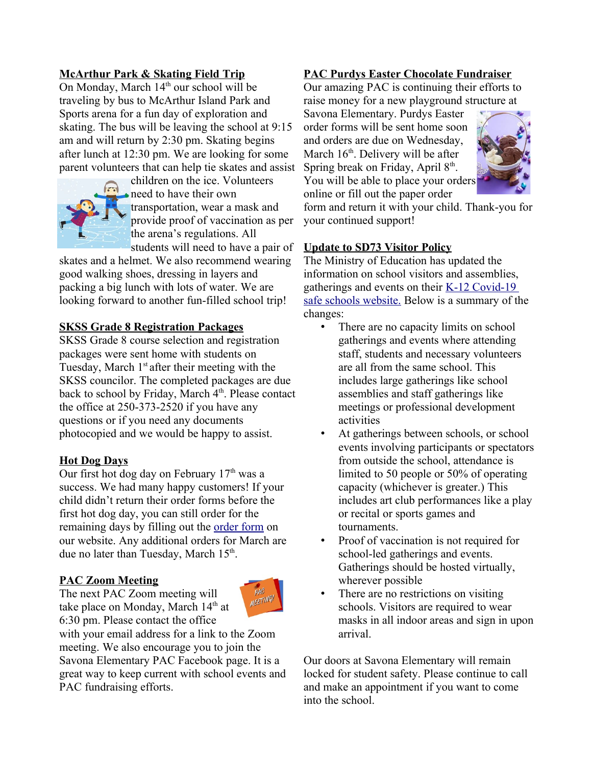# **McArthur Park & Skating Field Trip**

On Monday, March  $14<sup>th</sup>$  our school will be traveling by bus to McArthur Island Park and Sports arena for a fun day of exploration and skating. The bus will be leaving the school at 9:15 am and will return by 2:30 pm. Skating begins after lunch at 12:30 pm. We are looking for some parent volunteers that can help tie skates and assist



children on the ice. Volunteers need to have their own transportation, wear a mask and provide proof of vaccination as per the arena's regulations. All students will need to have a pair of

skates and a helmet. We also recommend wearing good walking shoes, dressing in layers and packing a big lunch with lots of water. We are looking forward to another fun-filled school trip!

### **SKSS Grade 8 Registration Packages**

SKSS Grade 8 course selection and registration packages were sent home with students on Tuesday, March  $1<sup>st</sup>$  after their meeting with the SKSS councilor. The completed packages are due back to school by Friday, March  $4<sup>th</sup>$ . Please contact the office at 250-373-2520 if you have any questions or if you need any documents photocopied and we would be happy to assist.

# **Hot Dog Days**

Our first hot dog day on February  $17<sup>th</sup>$  was a success. We had many happy customers! If your child didn't return their order forms before the first hot dog day, you can still order for the remaining days by filling out the [order form](https://savona.sd73.bc.ca/en/resourcesGeneral/Order-Forms/Hot-Dog-Order-Form.pdf) on our website. Any additional orders for March are due no later than Tuesday, March 15<sup>th</sup>.

# **PAC Zoom Meeting**

The next PAC Zoom meeting will take place on Monday, March 14<sup>th</sup> at 6:30 pm. Please contact the office



with your email address for a link to the Zoom meeting. We also encourage you to join the Savona Elementary PAC Facebook page. It is a great way to keep current with school events and PAC fundraising efforts.

# **PAC Purdys Easter Chocolate Fundraiser**

Our amazing PAC is continuing their efforts to raise money for a new playground structure at

Savona Elementary. Purdys Easter order forms will be sent home soon and orders are due on Wednesday, March 16<sup>th</sup>. Delivery will be after Spring break on Friday, April 8<sup>th</sup>. You will be able to place your orders online or fill out the paper order



form and return it with your child. Thank-you for your continued support!

### **Update to SD73 Visitor Policy**

The Ministry of Education has updated the information on school visitors and assemblies, gatherings and events on their [K-12 Covid-19](https://www2.gov.bc.ca/gov/content/education-training/k-12/covid-19-safe-schools)  [safe schools website.](https://www2.gov.bc.ca/gov/content/education-training/k-12/covid-19-safe-schools) Below is a summary of the changes:

- There are no capacity limits on school gatherings and events where attending staff, students and necessary volunteers are all from the same school. This includes large gatherings like school assemblies and staff gatherings like meetings or professional development activities
- At gatherings between schools, or school events involving participants or spectators from outside the school, attendance is limited to 50 people or 50% of operating capacity (whichever is greater.) This includes art club performances like a play or recital or sports games and tournaments.
- Proof of vaccination is not required for school-led gatherings and events. Gatherings should be hosted virtually, wherever possible
- There are no restrictions on visiting schools. Visitors are required to wear masks in all indoor areas and sign in upon arrival.

Our doors at Savona Elementary will remain locked for student safety. Please continue to call and make an appointment if you want to come into the school.